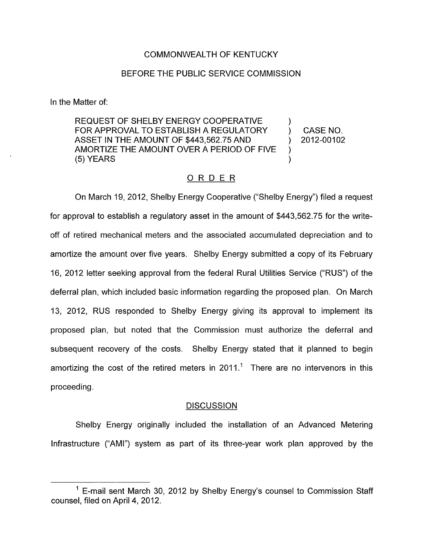## COMMONWEALTH OF KENTUCKY

## BEFORE THE PUBLIC SERVICE COMMISSION

In the Matter of:

REQUEST OF SHELBY ENERGY COOPERATIVE FOR APPROVAL TO ESTABLISH A REGULATORY ) CASENO. AMORTIZE THE AMOUNT OVER A PERIOD OF FIVE 1 ASSET IN THE AMOUNT OF \$443,562.75 AND (2012-00102)  $(5)$  YEARS  $\lambda$ 

# ORDER

On March 19, 2012, Shelby Energy Cooperative ("Shelby Energy") filed a request for approval to establish a regulatory asset in the amount of \$443,562.75 for the writeoff of retired mechanical meters and the associated accumulated depreciation and to amortize the amount over five years. Shelby Energy submitted a copy of its February 16, 2012 letter seeking approval from the federal Rural Utilities Service ("RUS") of the deferral plan, which included basic information regarding the proposed plan. On March 13, 2012, RUS responded to Shelby Energy giving its approval to implement its proposed plan, but noted that the Commission must authorize the deferral and subsequent recovery of the costs. Shelby Energy stated that it planned to begin amortizing the cost of the retired meters in 2011.<sup>1</sup> There are no intervenors in this proceeding .

### **DISCUSSION**

Shelby Energy originally included the installation of an Advanced Metering Infrastructure ("AMI") system as part of its three-year work plan approved by the

 $1$  E-mail sent March 30, 2012 by Shelby Energy's counsel to Commission Staff counsel, filed on April **4,** 2012.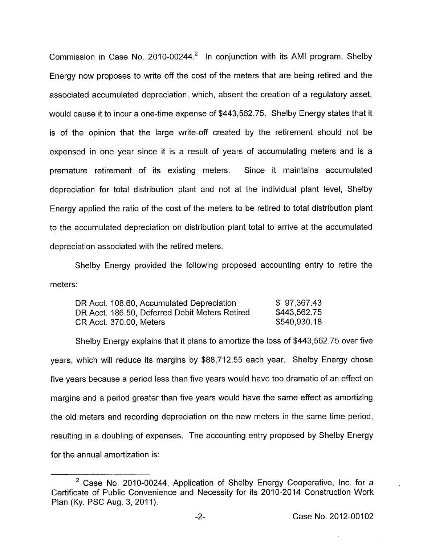Commission in Case No. 2010-00244.<sup>2</sup> In conjunction with its AMI program, Shelby Energy now proposes to write off the cost of the meters that are being retired and the associated accumulated depreciation, which, absent the creation of a regulatory asset, would cause it to incur a one-time expense of \$443,562.75. Shelby Energy states that it is of the opinion that the large write-off created by the retirement should not be expensed in one year since it is a result of years of accumulating meters and is a premature retirement of its existing meters. Since it maintains accumulated depreciation for total distribution plant and not at the individual plant level, Shelby Energy applied the ratio of the cost of the meters to be retired to total distribution plant to the accumulated depreciation on distribution plant total to arrive at the accumulated depreciation associated with the retired meters.

Shelby Energy provided the following proposed accounting entry to retire the meters:

| DR Acct. 108.60, Accumulated Depreciation      | \$97,367.43  |
|------------------------------------------------|--------------|
| DR Acct. 186.50, Deferred Debit Meters Retired | \$443,562.75 |
| CR Acct. 370.00, Meters                        | \$540,930.18 |

Shelby Energy explains that it plans to amortize the loss of \$443,562.75 over five years, which will reduce its margins by \$88,712.55 each year. Shelby Energy chose five years because a period less than five years would have too dramatic of an effect on margins and a period greater than five years would have the same effect as amortizing the old meters and recording depreciation on the new meters in the same time period, resulting in a doubling of expenses. The accounting entry proposed by Shelby Energy for the annual amortization is:

 $2$  Case No. 2010-00244, Application of Shelby Energy Cooperative, Inc. for a Certificate of Public Convenience and Necessity for its 2010-2014 Construction Work Plan (Ky. PSC Aug. 3, 2011).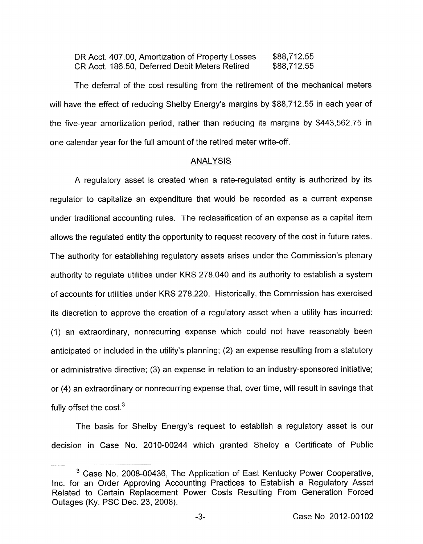| DR Acct. 407.00, Amortization of Property Losses | \$88,712.55 |
|--------------------------------------------------|-------------|
| CR Acct. 186.50, Deferred Debit Meters Retired   | \$88,712.55 |

The deferral of the cost resulting from the retirement of the mechanical meters will have the effect of reducing Shelby Energy's margins by \$88,712.55 in each year of the five-year amortization period, rather than reducing its margins by \$443,562.75 in one calendar year for the full amount of the retired meter write-off.

### ANALYSIS

A regulatory asset is created when a rate-regulated entity is authorized by its regulator to capitalize an expenditure that would be recorded as a current expense under traditional accounting rules. The reclassification of an expense as a capital item allows the regulated entity the opportunity to request recovery of the cost in future rates. The authority for establishing regulatory assets arises under the Commission's plenary authority to regulate utilities under KRS 278.040 and its authority to establish a system of accounts for utilities under KRS 278.220. Historically, the Commission has exercised its discretion to approve the creation of a regulatory asset when a utility has incurred: (1) an extraordinary, nonrecurring expense which could not have reasonably been anticipated or included in the utility's planning; (2) an expense resulting from a statutory or administrative directive; (3) an expense in relation to an industry-sponsored initiative; or (4) an extraordinary or nonrecurring expense that, over time, will result in savings that fully offset the cost.<sup>3</sup>

The basis for Shelby Energy's request to establish a regulatory asset is our decision in Case No. 2010-00244 which granted Shelby a Certificate of Public

<sup>&</sup>lt;sup>3</sup> Case No. 2008-00436, The Application of East Kentucky Power Cooperative, Inc. for an Order Approving Accounting Practices to Establish a Regulatory Asset Related to Certain Replacement Power Costs Resulting From Generation Forced Outages (Ky. PSC Dec. 23, 2008).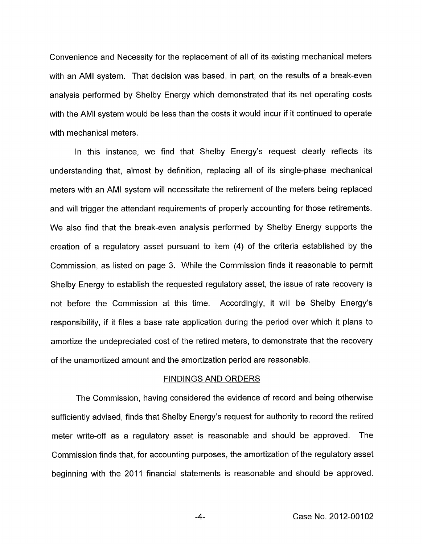Convenience and Necessity for the replacement of all of its existing mechanical meters with an AMI system. That decision was based, in part, on the results of a break-even analysis performed by Shelby Energy which demonstrated that its net operating costs with the AMI system would be less than the costs it would incur if it continued to operate with mechanical meters.

In this instance, we find that Shelby Energy's request clearly reflects its understanding that, almost by definition, replacing all of its single-phase mechanical meters with an AMI system will necessitate the retirement of the meters being replaced and will trigger the attendant requirements of properly accounting for those retirements. We also find that the break-even analysis performed by Shelby Energy supports the creation of a regulatory asset pursuant to item (4) of the criteria established by the Commission, as listed on page 3. While the Commission finds it reasonable to permit Shelby Energy to establish the requested regulatory asset, the issue of rate recovery is not before the Commission at this time. Accordingly, it will be Shelby Energy's responsibility, if it files a base rate application during the period over which it plans to amortize the undepreciated cost of the retired meters, to demonstrate that the recovery of the unamortized amount and the amortization period are reasonable.

### FINDINGS AND ORDERS

The Commission, having considered the evidence of record and being otherwise sufficiently advised, finds that Shelby Energy's request for authority to record the retired meter write-off as a regulatory asset is reasonable and should be approved. The Commission finds that, for accounting purposes, the amortization of the regulatory asset beginning with the 2011 financial statements is reasonable and should be approved.

**-4-** Case No. 2012-00102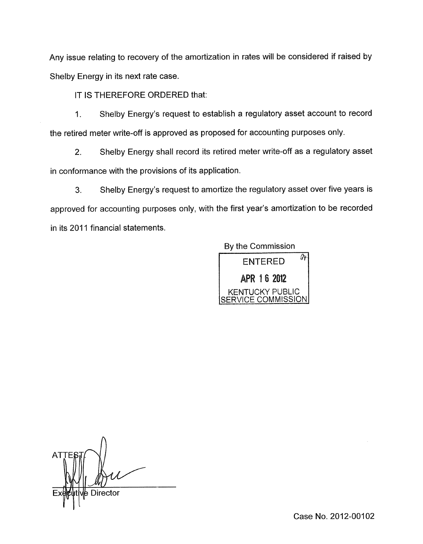Any issue relating to recovery of the amortization in rates will be considered if raised by Shelby Energy in its next rate case.

IT IS THEREFORE ORDERED that:

1. Shelby Energy's request to establish a regulatory asset account to record the retired meter write-off is approved as proposed for accounting purposes only.

2. Shelby Energy shall record its retired meter write-off as a regulatory asset in conformance with the provisions of its application.

**3.** Shelby Energy's request to amortize the regulatory asset over five years is approved for accounting purposes only, with the first year's amortization to be recorded in its 2011 financial statements.

By the Commission



**ATT** .- **Director** 

Case No. 2012-00102